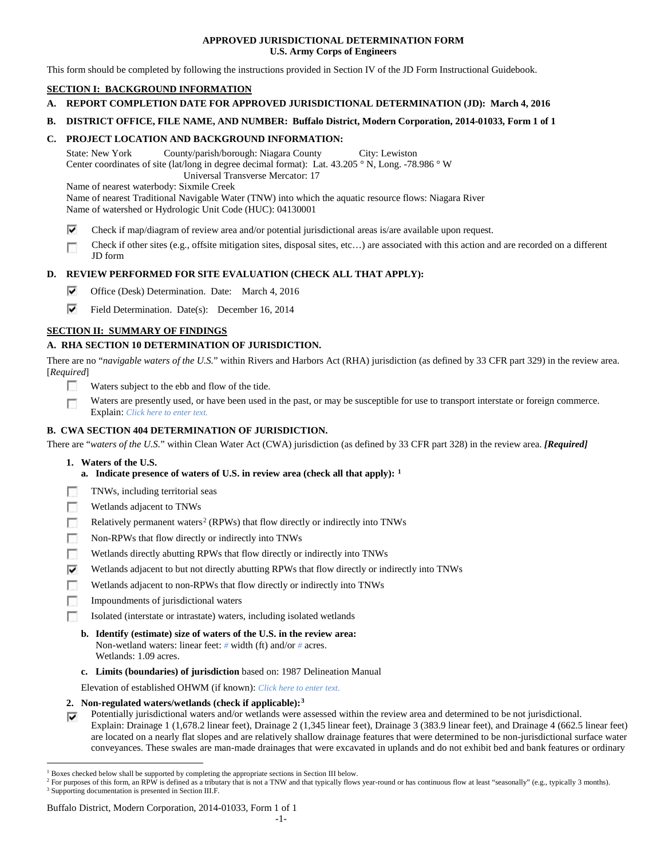### **APPROVED JURISDICTIONAL DETERMINATION FORM U.S. Army Corps of Engineers**

This form should be completed by following the instructions provided in Section IV of the JD Form Instructional Guidebook.

# **SECTION I: BACKGROUND INFORMATION**

- **A. REPORT COMPLETION DATE FOR APPROVED JURISDICTIONAL DETERMINATION (JD): March 4, 2016**
- **B. DISTRICT OFFICE, FILE NAME, AND NUMBER: Buffalo District, Modern Corporation, 2014-01033, Form 1 of 1**

### **C. PROJECT LOCATION AND BACKGROUND INFORMATION:**

State: New York County/parish/borough: Niagara County City: Lewiston Center coordinates of site (lat/long in degree decimal format): Lat. 43.205 ° N, Long. -78.986 ° W Universal Transverse Mercator: 17

Name of nearest waterbody: Sixmile Creek

Name of nearest Traditional Navigable Water (TNW) into which the aquatic resource flows: Niagara River Name of watershed or Hydrologic Unit Code (HUC): 04130001

- ⊽ Check if map/diagram of review area and/or potential jurisdictional areas is/are available upon request.
- Check if other sites (e.g., offsite mitigation sites, disposal sites, etc…) are associated with this action and are recorded on a different п JD form

## **D. REVIEW PERFORMED FOR SITE EVALUATION (CHECK ALL THAT APPLY):**

- ⊽ Office (Desk) Determination. Date: March 4, 2016
- ⊽ Field Determination. Date(s): December 16, 2014

## **SECTION II: SUMMARY OF FINDINGS**

## **A. RHA SECTION 10 DETERMINATION OF JURISDICTION.**

There are no "*navigable waters of the U.S.*" within Rivers and Harbors Act (RHA) jurisdiction (as defined by 33 CFR part 329) in the review area. [*Required*]

- n Waters subject to the ebb and flow of the tide.
- Waters are presently used, or have been used in the past, or may be susceptible for use to transport interstate or foreign commerce. п Explain: *Click here to enter text.*

## **B. CWA SECTION 404 DETERMINATION OF JURISDICTION.**

There are "*waters of the U.S.*" within Clean Water Act (CWA) jurisdiction (as defined by 33 CFR part 328) in the review area. *[Required]*

- **1. Waters of the U.S.**
	- **a. Indicate presence of waters of U.S. in review area (check all that apply): [1](#page-0-0)**
- TNWs, including territorial seas
- п Wetlands adjacent to TNWs
- Relatively permanent waters<sup>[2](#page-0-1)</sup> (RPWs) that flow directly or indirectly into TNWs п
- г Non-RPWs that flow directly or indirectly into TNWs
- œ Wetlands directly abutting RPWs that flow directly or indirectly into TNWs
- ⊽ Wetlands adjacent to but not directly abutting RPWs that flow directly or indirectly into TNWs
- Wetlands adjacent to non-RPWs that flow directly or indirectly into TNWs Е
- г Impoundments of jurisdictional waters
- n. Isolated (interstate or intrastate) waters, including isolated wetlands
	- **b. Identify (estimate) size of waters of the U.S. in the review area:** Non-wetland waters: linear feet: *#* width (ft) and/or *#* acres. Wetlands: 1.09 acres.
	- **c. Limits (boundaries) of jurisdiction** based on: 1987 Delineation Manual

Elevation of established OHWM (if known): *Click here to enter text.*

- **2. Non-regulated waters/wetlands (check if applicable):[3](#page-0-2)**
- Potentially jurisdictional waters and/or wetlands were assessed within the review area and determined to be not jurisdictional. ⊽ Explain: Drainage 1 (1,678.2 linear feet), Drainage 2 (1,345 linear feet), Drainage 3 (383.9 linear feet), and Drainage 4 (662.5 linear feet) are located on a nearly flat slopes and are relatively shallow drainage features that were determined to be non-jurisdictional surface water conveyances. These swales are man-made drainages that were excavated in uplands and do not exhibit bed and bank features or ordinary

#### Buffalo District, Modern Corporation, 2014-01033, Form 1 of 1

<span id="page-0-0"></span><sup>&</sup>lt;sup>1</sup> Boxes checked below shall be supported by completing the appropriate sections in Section III below.

<span id="page-0-2"></span><span id="page-0-1"></span><sup>&</sup>lt;sup>2</sup> For purposes of this form, an RPW is defined as a tributary that is not a TNW and that typically flows year-round or has continuous flow at least "seasonally" (e.g., typically 3 months). <sup>3</sup> Supporting documentation is presented in Section III.F.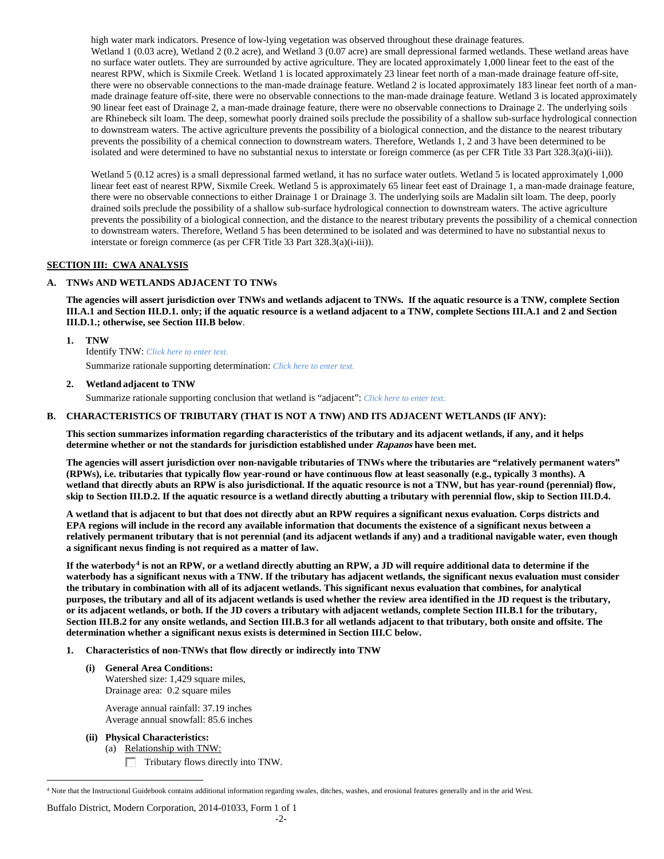high water mark indicators. Presence of low-lying vegetation was observed throughout these drainage features. Wetland 1 (0.03 acre), Wetland 2 (0.2 acre), and Wetland 3 (0.07 acre) are small depressional farmed wetlands. These wetland areas have no surface water outlets. They are surrounded by active agriculture. They are located approximately 1,000 linear feet to the east of the nearest RPW, which is Sixmile Creek. Wetland 1 is located approximately 23 linear feet north of a man-made drainage feature off-site, there were no observable connections to the man-made drainage feature. Wetland 2 is located approximately 183 linear feet north of a manmade drainage feature off-site, there were no observable connections to the man-made drainage feature. Wetland 3 is located approximately 90 linear feet east of Drainage 2, a man-made drainage feature, there were no observable connections to Drainage 2. The underlying soils are Rhinebeck silt loam. The deep, somewhat poorly drained soils preclude the possibility of a shallow sub-surface hydrological connection to downstream waters. The active agriculture prevents the possibility of a biological connection, and the distance to the nearest tributary prevents the possibility of a chemical connection to downstream waters. Therefore, Wetlands 1, 2 and 3 have been determined to be isolated and were determined to have no substantial nexus to interstate or foreign commerce (as per CFR Title 33 Part 328.3(a)(i-iii)).

Wetland 5 (0.12 acres) is a small depressional farmed wetland, it has no surface water outlets. Wetland 5 is located approximately 1,000 linear feet east of nearest RPW, Sixmile Creek. Wetland 5 is approximately 65 linear feet east of Drainage 1, a man-made drainage feature, there were no observable connections to either Drainage 1 or Drainage 3. The underlying soils are Madalin silt loam. The deep, poorly drained soils preclude the possibility of a shallow sub-surface hydrological connection to downstream waters. The active agriculture prevents the possibility of a biological connection, and the distance to the nearest tributary prevents the possibility of a chemical connection to downstream waters. Therefore, Wetland 5 has been determined to be isolated and was determined to have no substantial nexus to interstate or foreign commerce (as per CFR Title 33 Part 328.3(a)(i-iii)).

## **SECTION III: CWA ANALYSIS**

## **A. TNWs AND WETLANDS ADJACENT TO TNWs**

**The agencies will assert jurisdiction over TNWs and wetlands adjacent to TNWs. If the aquatic resource is a TNW, complete Section III.A.1 and Section III.D.1. only; if the aquatic resource is a wetland adjacent to a TNW, complete Sections III.A.1 and 2 and Section III.D.1.; otherwise, see Section III.B below**.

**1. TNW** 

Identify TNW: *Click here to enter text.*

Summarize rationale supporting determination: *Click here to enter text.*

#### **2. Wetland adjacent to TNW**

Summarize rationale supporting conclusion that wetland is "adjacent": *Click here to enter text.*

## **B. CHARACTERISTICS OF TRIBUTARY (THAT IS NOT A TNW) AND ITS ADJACENT WETLANDS (IF ANY):**

**This section summarizes information regarding characteristics of the tributary and its adjacent wetlands, if any, and it helps determine whether or not the standards for jurisdiction established under Rapanos have been met.** 

**The agencies will assert jurisdiction over non-navigable tributaries of TNWs where the tributaries are "relatively permanent waters" (RPWs), i.e. tributaries that typically flow year-round or have continuous flow at least seasonally (e.g., typically 3 months). A wetland that directly abuts an RPW is also jurisdictional. If the aquatic resource is not a TNW, but has year-round (perennial) flow, skip to Section III.D.2. If the aquatic resource is a wetland directly abutting a tributary with perennial flow, skip to Section III.D.4.**

**A wetland that is adjacent to but that does not directly abut an RPW requires a significant nexus evaluation. Corps districts and EPA regions will include in the record any available information that documents the existence of a significant nexus between a relatively permanent tributary that is not perennial (and its adjacent wetlands if any) and a traditional navigable water, even though a significant nexus finding is not required as a matter of law.**

**If the waterbody[4](#page-1-0) is not an RPW, or a wetland directly abutting an RPW, a JD will require additional data to determine if the waterbody has a significant nexus with a TNW. If the tributary has adjacent wetlands, the significant nexus evaluation must consider the tributary in combination with all of its adjacent wetlands. This significant nexus evaluation that combines, for analytical purposes, the tributary and all of its adjacent wetlands is used whether the review area identified in the JD request is the tributary, or its adjacent wetlands, or both. If the JD covers a tributary with adjacent wetlands, complete Section III.B.1 for the tributary, Section III.B.2 for any onsite wetlands, and Section III.B.3 for all wetlands adjacent to that tributary, both onsite and offsite. The determination whether a significant nexus exists is determined in Section III.C below.**

- **1. Characteristics of non-TNWs that flow directly or indirectly into TNW**
	- **(i) General Area Conditions:** Watershed size: 1,429 square miles, Drainage area: 0.2 square miles

Average annual rainfall: 37.19 inches Average annual snowfall: 85.6 inches

- **(ii) Physical Characteristics:**
	- (a) Relationship with TNW: Tributary flows directly into TNW.

Buffalo District, Modern Corporation, 2014-01033, Form 1 of 1

<span id="page-1-0"></span> <sup>4</sup> Note that the Instructional Guidebook contains additional information regarding swales, ditches, washes, and erosional features generally and in the arid West.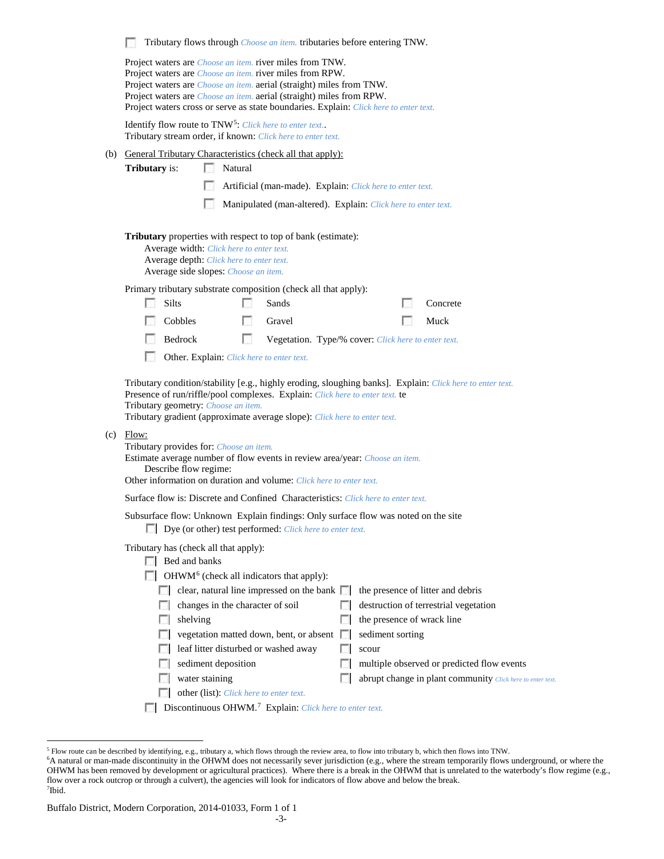|                                                                                                                        | Tributary flows through <i>Choose an item</i> . tributaries before entering TNW.<br>Project waters are <i>Choose an item</i> . river miles from TNW.<br>Project waters are <i>Choose an item</i> . river miles from RPW.<br>Project waters are <i>Choose an item.</i> aerial (straight) miles from TNW.<br>Project waters are <i>Choose an item.</i> aerial (straight) miles from RPW.<br>Project waters cross or serve as state boundaries. Explain: Click here to enter text.                                                                        |                                                   |               |                                                                                                                                                                                                                                               |  |                                                         |                                                                                                                                                                                        |  |  |  |
|------------------------------------------------------------------------------------------------------------------------|--------------------------------------------------------------------------------------------------------------------------------------------------------------------------------------------------------------------------------------------------------------------------------------------------------------------------------------------------------------------------------------------------------------------------------------------------------------------------------------------------------------------------------------------------------|---------------------------------------------------|---------------|-----------------------------------------------------------------------------------------------------------------------------------------------------------------------------------------------------------------------------------------------|--|---------------------------------------------------------|----------------------------------------------------------------------------------------------------------------------------------------------------------------------------------------|--|--|--|
|                                                                                                                        |                                                                                                                                                                                                                                                                                                                                                                                                                                                                                                                                                        |                                                   |               |                                                                                                                                                                                                                                               |  |                                                         |                                                                                                                                                                                        |  |  |  |
|                                                                                                                        | Identify flow route to TNW <sup>5</sup> : Click here to enter text<br>Tributary stream order, if known: Click here to enter text.                                                                                                                                                                                                                                                                                                                                                                                                                      |                                                   |               |                                                                                                                                                                                                                                               |  |                                                         |                                                                                                                                                                                        |  |  |  |
|                                                                                                                        |                                                                                                                                                                                                                                                                                                                                                                                                                                                                                                                                                        |                                                   |               | (b) General Tributary Characteristics (check all that apply):                                                                                                                                                                                 |  |                                                         |                                                                                                                                                                                        |  |  |  |
|                                                                                                                        | <b>Tributary</b> is:                                                                                                                                                                                                                                                                                                                                                                                                                                                                                                                                   | Natural                                           |               |                                                                                                                                                                                                                                               |  |                                                         |                                                                                                                                                                                        |  |  |  |
| Artificial (man-made). Explain: Click here to enter text.                                                              |                                                                                                                                                                                                                                                                                                                                                                                                                                                                                                                                                        |                                                   |               |                                                                                                                                                                                                                                               |  |                                                         |                                                                                                                                                                                        |  |  |  |
|                                                                                                                        |                                                                                                                                                                                                                                                                                                                                                                                                                                                                                                                                                        | u                                                 |               | Manipulated (man-altered). Explain: Click here to enter text.                                                                                                                                                                                 |  |                                                         |                                                                                                                                                                                        |  |  |  |
|                                                                                                                        | Tributary properties with respect to top of bank (estimate):<br>Average width: Click here to enter text.<br>Average depth: Click here to enter text.<br>Average side slopes: Choose an item.                                                                                                                                                                                                                                                                                                                                                           |                                                   |               |                                                                                                                                                                                                                                               |  |                                                         |                                                                                                                                                                                        |  |  |  |
|                                                                                                                        |                                                                                                                                                                                                                                                                                                                                                                                                                                                                                                                                                        |                                                   |               | Primary tributary substrate composition (check all that apply):                                                                                                                                                                               |  |                                                         |                                                                                                                                                                                        |  |  |  |
|                                                                                                                        | <b>Silts</b><br><b>All College</b>                                                                                                                                                                                                                                                                                                                                                                                                                                                                                                                     |                                                   | $\mathcal{L}$ | Sands                                                                                                                                                                                                                                         |  |                                                         | Concrete                                                                                                                                                                               |  |  |  |
|                                                                                                                        | Cobbles                                                                                                                                                                                                                                                                                                                                                                                                                                                                                                                                                |                                                   | $\sim$        | Gravel                                                                                                                                                                                                                                        |  |                                                         | Muck                                                                                                                                                                                   |  |  |  |
| г<br>Bedrock<br>Vegetation. Type/% cover: Click here to enter text.<br>L.<br>Other. Explain: Click here to enter text. |                                                                                                                                                                                                                                                                                                                                                                                                                                                                                                                                                        |                                                   |               |                                                                                                                                                                                                                                               |  |                                                         |                                                                                                                                                                                        |  |  |  |
|                                                                                                                        | Tributary condition/stability [e.g., highly eroding, sloughing banks]. Explain: Click here to enter text.<br>Presence of run/riffle/pool complexes. Explain: Click here to enter text. te<br>Tributary geometry: Choose an item.<br>Tributary gradient (approximate average slope): Click here to enter text.<br>$(c)$ Flow:<br>Tributary provides for: Choose an item.<br>Estimate average number of flow events in review area/year: Choose an item.<br>Describe flow regime:<br>Other information on duration and volume: Click here to enter text. |                                                   |               |                                                                                                                                                                                                                                               |  |                                                         |                                                                                                                                                                                        |  |  |  |
|                                                                                                                        | <b>Surface flow is: Discrete and Confined Characteristics:</b> Click here to enter text.                                                                                                                                                                                                                                                                                                                                                                                                                                                               |                                                   |               |                                                                                                                                                                                                                                               |  |                                                         |                                                                                                                                                                                        |  |  |  |
|                                                                                                                        | Subsurface flow: Unknown Explain findings: Only surface flow was noted on the site<br>Dye (or other) test performed: Click here to enter text.                                                                                                                                                                                                                                                                                                                                                                                                         |                                                   |               |                                                                                                                                                                                                                                               |  |                                                         |                                                                                                                                                                                        |  |  |  |
|                                                                                                                        | Tributary has (check all that apply):<br>$\Box$ Bed and banks<br><b>ISSUE</b>                                                                                                                                                                                                                                                                                                                                                                                                                                                                          | shelving<br>sediment deposition<br>water staining |               | $\Box$ OHWM <sup>6</sup> (check all indicators that apply):<br>clear, natural line impressed on the bank $\Box$<br>changes in the character of soil<br>vegetation matted down, bent, or absent $\Box$<br>leaf litter disturbed or washed away |  | the presence of wrack line<br>sediment sorting<br>scour | the presence of litter and debris<br>destruction of terrestrial vegetation<br>multiple observed or predicted flow events<br>abrupt change in plant community Click here to enter text. |  |  |  |
|                                                                                                                        |                                                                                                                                                                                                                                                                                                                                                                                                                                                                                                                                                        |                                                   |               | other (list): Click here to enter text.                                                                                                                                                                                                       |  |                                                         |                                                                                                                                                                                        |  |  |  |
|                                                                                                                        |                                                                                                                                                                                                                                                                                                                                                                                                                                                                                                                                                        |                                                   |               |                                                                                                                                                                                                                                               |  |                                                         |                                                                                                                                                                                        |  |  |  |

Discontinuous OHWM.[7](#page-2-2) Explain: *Click here to enter text.*

<span id="page-2-1"></span><span id="page-2-0"></span><sup>&</sup>lt;sup>5</sup> Flow route can be described by identifying, e.g., tributary a, which flows through the review area, to flow into tributary b, which then flows into TNW.

<sup>6</sup> A natural or man-made discontinuity in the OHWM does not necessarily sever jurisdiction (e.g., where the stream temporarily flows underground, or where the OHWM has been removed by development or agricultural practices). Where there is a break in the OHWM that is unrelated to the waterbody's flow regime (e.g., flow over a rock outcrop or through a culvert), the agencies will look for indicators of flow above and below the break. 7 Ibid.

<span id="page-2-2"></span>Buffalo District, Modern Corporation, 2014-01033, Form 1 of 1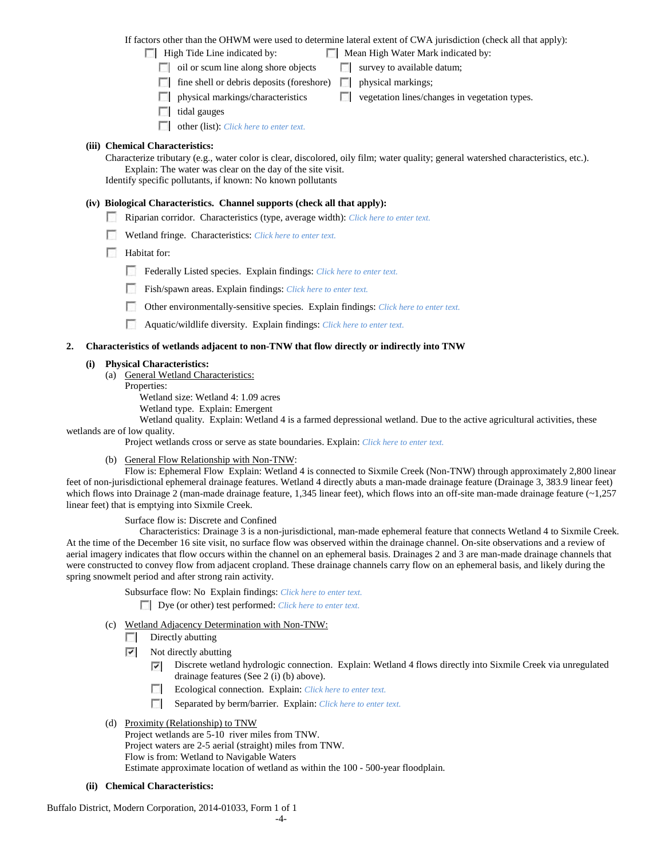If factors other than the OHWM were used to determine lateral extent of CWA jurisdiction (check all that apply):

- High Tide Line indicated by: Mean High Water Mark indicated by:
	-
	- $\Box$  oil or scum line along shore objects  $\Box$  survey to available datum;
	- $\Box$  fine shell or debris deposits (foreshore)  $\Box$  physical markings;
	- physical markings/characteristics  $\Box$  vegetation lines/changes in vegetation types.
	- $\Box$  tidal gauges
	- other (list): *Click here to enter text.*

## **(iii) Chemical Characteristics:**

Characterize tributary (e.g., water color is clear, discolored, oily film; water quality; general watershed characteristics, etc.). Explain: The water was clear on the day of the site visit. Identify specific pollutants, if known: No known pollutants

## **(iv) Biological Characteristics. Channel supports (check all that apply):**

- Riparian corridor. Characteristics (type, average width): *Click here to enter text.*
- Wetland fringe. Characteristics: *Click here to enter text.*
- **Habitat for:** 
	- Federally Listed species. Explain findings: *Click here to enter text.*
	- Fish/spawn areas. Explain findings: *Click here to enter text.*
	- Other environmentally-sensitive species. Explain findings: *Click here to enter text.*
	- Aquatic/wildlife diversity. Explain findings: *Click here to enter text.*

## **2. Characteristics of wetlands adjacent to non-TNW that flow directly or indirectly into TNW**

## **(i) Physical Characteristics:**

- (a) General Wetland Characteristics:
	- Properties:

Wetland size: Wetland 4: 1.09 acres

- Wetland type. Explain: Emergent
- Wetland quality. Explain: Wetland 4 is a farmed depressional wetland. Due to the active agricultural activities, these

wetlands are of low quality.

Project wetlands cross or serve as state boundaries. Explain: *Click here to enter text.*

(b) General Flow Relationship with Non-TNW:

Flow is: Ephemeral Flow Explain: Wetland 4 is connected to Sixmile Creek (Non-TNW) through approximately 2,800 linear feet of non-jurisdictional ephemeral drainage features. Wetland 4 directly abuts a man-made drainage feature (Drainage 3, 383.9 linear feet) which flows into Drainage 2 (man-made drainage feature, 1,345 linear feet), which flows into an off-site man-made drainage feature (~1,257 linear feet) that is emptying into Sixmile Creek.

Surface flow is: Discrete and Confined

Characteristics: Drainage 3 is a non-jurisdictional, man-made ephemeral feature that connects Wetland 4 to Sixmile Creek. At the time of the December 16 site visit, no surface flow was observed within the drainage channel. On-site observations and a review of aerial imagery indicates that flow occurs within the channel on an ephemeral basis. Drainages 2 and 3 are man-made drainage channels that were constructed to convey flow from adjacent cropland. These drainage channels carry flow on an ephemeral basis, and likely during the spring snowmelt period and after strong rain activity.

Subsurface flow: No Explain findings: *Click here to enter text.*

Dye (or other) test performed: *Click here to enter text.*

- (c) Wetland Adjacency Determination with Non-TNW:
	- $\Box$  Directly abutting
	- $\overline{\phantom{a}}$ Not directly abutting
		- Discrete wetland hydrologic connection. Explain: Wetland 4 flows directly into Sixmile Creek via unregulated ⊽ drainage features (See 2 (i) (b) above).
		- п Ecological connection. Explain: *Click here to enter text.*
		- Separated by berm/barrier. Explain: *Click here to enter text.*
- (d) Proximity (Relationship) to TNW
	- Project wetlands are 5-10 river miles from TNW. Project waters are 2-5 aerial (straight) miles from TNW. Flow is from: Wetland to Navigable Waters Estimate approximate location of wetland as within the 100 - 500-year floodplain.
- **(ii) Chemical Characteristics:**

Buffalo District, Modern Corporation, 2014-01033, Form 1 of 1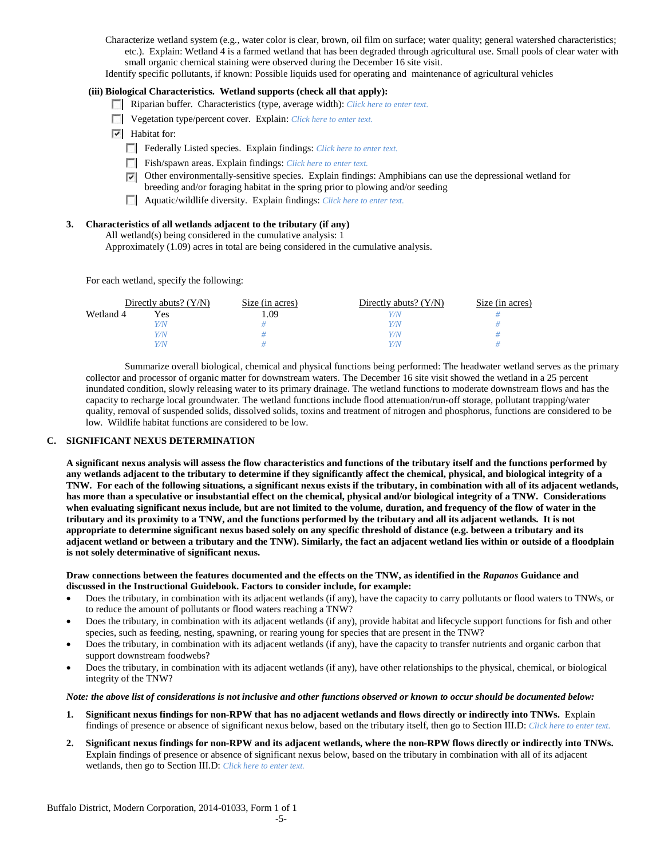Characterize wetland system (e.g., water color is clear, brown, oil film on surface; water quality; general watershed characteristics; etc.). Explain: Wetland 4 is a farmed wetland that has been degraded through agricultural use. Small pools of clear water with small organic chemical staining were observed during the December 16 site visit.

Identify specific pollutants, if known: Possible liquids used for operating and maintenance of agricultural vehicles

#### **(iii) Biological Characteristics. Wetland supports (check all that apply):**

- Riparian buffer. Characteristics (type, average width): *Click here to enter text.*
- Vegetation type/percent cover. Explain: *Click here to enter text.*
- Habitat for:
	- Federally Listed species. Explain findings: *Click here to enter text.*
	- Fish/spawn areas. Explain findings: *Click here to enter text.*
	- $\nabla$  Other environmentally-sensitive species. Explain findings: Amphibians can use the depressional wetland for breeding and/or foraging habitat in the spring prior to plowing and/or seeding
	- Aquatic/wildlife diversity. Explain findings: *Click here to enter text.*

## **3. Characteristics of all wetlands adjacent to the tributary (if any)**

All wetland(s) being considered in the cumulative analysis: 1

Approximately (1.09) acres in total are being considered in the cumulative analysis.

For each wetland, specify the following:

|           | Directly abuts? $(Y/N)$ | Size (in acres) | Directly abuts? $(Y/N)$ | Size (in acres) |  |
|-----------|-------------------------|-----------------|-------------------------|-----------------|--|
| Wetland 4 | Yes                     | . .09           |                         |                 |  |
|           | Y/N                     |                 | Y/N                     |                 |  |
|           | Y/N                     |                 | Y/N                     |                 |  |
|           | Y/N                     |                 | Y/N                     |                 |  |

Summarize overall biological, chemical and physical functions being performed: The headwater wetland serves as the primary collector and processor of organic matter for downstream waters. The December 16 site visit showed the wetland in a 25 percent inundated condition, slowly releasing water to its primary drainage. The wetland functions to moderate downstream flows and has the capacity to recharge local groundwater. The wetland functions include flood attenuation/run-off storage, pollutant trapping/water quality, removal of suspended solids, dissolved solids, toxins and treatment of nitrogen and phosphorus, functions are considered to be low. Wildlife habitat functions are considered to be low.

#### **C. SIGNIFICANT NEXUS DETERMINATION**

**A significant nexus analysis will assess the flow characteristics and functions of the tributary itself and the functions performed by any wetlands adjacent to the tributary to determine if they significantly affect the chemical, physical, and biological integrity of a TNW. For each of the following situations, a significant nexus exists if the tributary, in combination with all of its adjacent wetlands, has more than a speculative or insubstantial effect on the chemical, physical and/or biological integrity of a TNW. Considerations when evaluating significant nexus include, but are not limited to the volume, duration, and frequency of the flow of water in the tributary and its proximity to a TNW, and the functions performed by the tributary and all its adjacent wetlands. It is not appropriate to determine significant nexus based solely on any specific threshold of distance (e.g. between a tributary and its adjacent wetland or between a tributary and the TNW). Similarly, the fact an adjacent wetland lies within or outside of a floodplain is not solely determinative of significant nexus.** 

#### **Draw connections between the features documented and the effects on the TNW, as identified in the** *Rapanos* **Guidance and discussed in the Instructional Guidebook. Factors to consider include, for example:**

- Does the tributary, in combination with its adjacent wetlands (if any), have the capacity to carry pollutants or flood waters to TNWs, or to reduce the amount of pollutants or flood waters reaching a TNW?
- Does the tributary, in combination with its adjacent wetlands (if any), provide habitat and lifecycle support functions for fish and other species, such as feeding, nesting, spawning, or rearing young for species that are present in the TNW?
- Does the tributary, in combination with its adjacent wetlands (if any), have the capacity to transfer nutrients and organic carbon that support downstream foodwebs?
- Does the tributary, in combination with its adjacent wetlands (if any), have other relationships to the physical, chemical, or biological integrity of the TNW?

#### *Note: the above list of considerations is not inclusive and other functions observed or known to occur should be documented below:*

- **1. Significant nexus findings for non-RPW that has no adjacent wetlands and flows directly or indirectly into TNWs.** Explain findings of presence or absence of significant nexus below, based on the tributary itself, then go to Section III.D: *Click here to enter text.*
- **2. Significant nexus findings for non-RPW and its adjacent wetlands, where the non-RPW flows directly or indirectly into TNWs.**  Explain findings of presence or absence of significant nexus below, based on the tributary in combination with all of its adjacent wetlands, then go to Section III.D: *Click here to enter text.*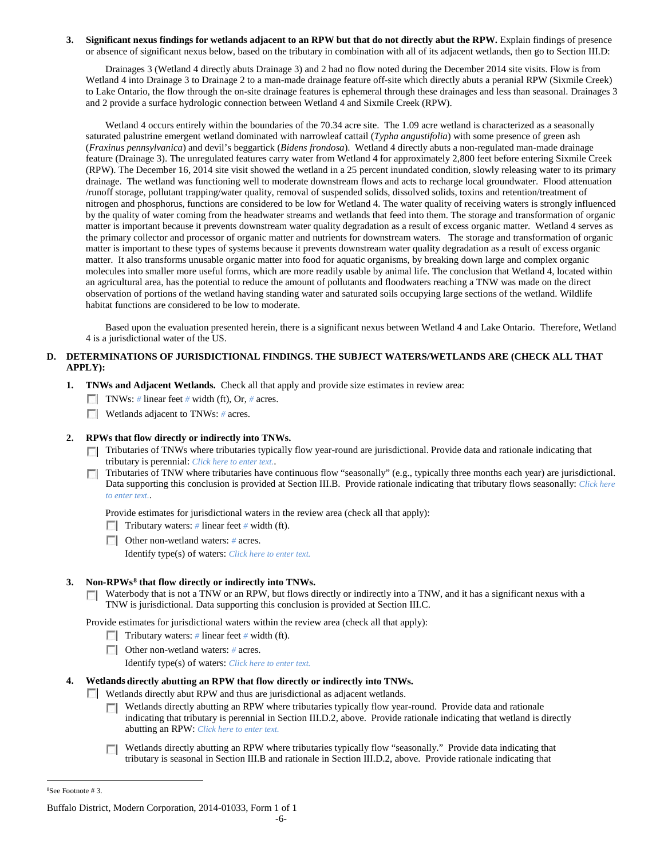#### **3. Significant nexus findings for wetlands adjacent to an RPW but that do not directly abut the RPW.** Explain findings of presence or absence of significant nexus below, based on the tributary in combination with all of its adjacent wetlands, then go to Section III.D:

Drainages 3 (Wetland 4 directly abuts Drainage 3) and 2 had no flow noted during the December 2014 site visits. Flow is from Wetland 4 into Drainage 3 to Drainage 2 to a man-made drainage feature off-site which directly abuts a peranial RPW (Sixmile Creek) to Lake Ontario, the flow through the on-site drainage features is ephemeral through these drainages and less than seasonal. Drainages 3 and 2 provide a surface hydrologic connection between Wetland 4 and Sixmile Creek (RPW).

Wetland 4 occurs entirely within the boundaries of the 70.34 acre site. The 1.09 acre wetland is characterized as a seasonally saturated palustrine emergent wetland dominated with narrowleaf cattail (*Typha angustifolia*) with some presence of green ash (*Fraxinus pennsylvanica*) and devil's beggartick (*Bidens frondosa*). Wetland 4 directly abuts a non-regulated man-made drainage feature (Drainage 3). The unregulated features carry water from Wetland 4 for approximately 2,800 feet before entering Sixmile Creek (RPW). The December 16, 2014 site visit showed the wetland in a 25 percent inundated condition, slowly releasing water to its primary drainage. The wetland was functioning well to moderate downstream flows and acts to recharge local groundwater. Flood attenuation /runoff storage, pollutant trapping/water quality, removal of suspended solids, dissolved solids, toxins and retention/treatment of nitrogen and phosphorus, functions are considered to be low for Wetland 4. The water quality of receiving waters is strongly influenced by the quality of water coming from the headwater streams and wetlands that feed into them. The storage and transformation of organic matter is important because it prevents downstream water quality degradation as a result of excess organic matter. Wetland 4 serves as the primary collector and processor of organic matter and nutrients for downstream waters. The storage and transformation of organic matter is important to these types of systems because it prevents downstream water quality degradation as a result of excess organic matter. It also transforms unusable organic matter into food for aquatic organisms, by breaking down large and complex organic molecules into smaller more useful forms, which are more readily usable by animal life. The conclusion that Wetland 4, located within an agricultural area, has the potential to reduce the amount of pollutants and floodwaters reaching a TNW was made on the direct observation of portions of the wetland having standing water and saturated soils occupying large sections of the wetland. Wildlife habitat functions are considered to be low to moderate.

 Based upon the evaluation presented herein, there is a significant nexus between Wetland 4 and Lake Ontario. Therefore, Wetland 4 is a jurisdictional water of the US.

## **D. DETERMINATIONS OF JURISDICTIONAL FINDINGS. THE SUBJECT WATERS/WETLANDS ARE (CHECK ALL THAT APPLY):**

- **1. TNWs and Adjacent Wetlands.** Check all that apply and provide size estimates in review area:
	- TNWs: *#* linear feet *#* width (ft), Or, *#* acres.
	- **Wetlands adjacent to TNWs:** # acres.

## **2. RPWs that flow directly or indirectly into TNWs.**

- Tributaries of TNWs where tributaries typically flow year-round are jurisdictional. Provide data and rationale indicating that tributary is perennial: *Click here to enter text.*.
- Tributaries of TNW where tributaries have continuous flow "seasonally" (e.g., typically three months each year) are jurisdictional. Data supporting this conclusion is provided at Section III.B. Provide rationale indicating that tributary flows seasonally: *Click here to enter text.*.

Provide estimates for jurisdictional waters in the review area (check all that apply):

- Tributary waters: # linear feet # width (ft).
- Other non-wetland waters: # acres.

Identify type(s) of waters: *Click here to enter text.*

#### **3. Non-RPWs[8](#page-5-0) that flow directly or indirectly into TNWs.**

 $\Box$  Waterbody that is not a TNW or an RPW, but flows directly or indirectly into a TNW, and it has a significant nexus with a TNW is jurisdictional. Data supporting this conclusion is provided at Section III.C.

Provide estimates for jurisdictional waters within the review area (check all that apply):

- **Tributary waters:** # linear feet # width (ft).
- Other non-wetland waters: *#* acres.

Identify type(s) of waters: *Click here to enter text.*

#### **4. Wetlands directly abutting an RPW that flow directly or indirectly into TNWs.**

Wetlands directly abut RPW and thus are jurisdictional as adjacent wetlands.

- $\Box$  Wetlands directly abutting an RPW where tributaries typically flow year-round. Provide data and rationale indicating that tributary is perennial in Section III.D.2, above. Provide rationale indicating that wetland is directly abutting an RPW: *Click here to enter text.*
- Wetlands directly abutting an RPW where tributaries typically flow "seasonally." Provide data indicating that tributary is seasonal in Section III.B and rationale in Section III.D.2, above. Provide rationale indicating that

<span id="page-5-0"></span> $\frac{1}{8}$ See Footnote # 3.

Buffalo District, Modern Corporation, 2014-01033, Form 1 of 1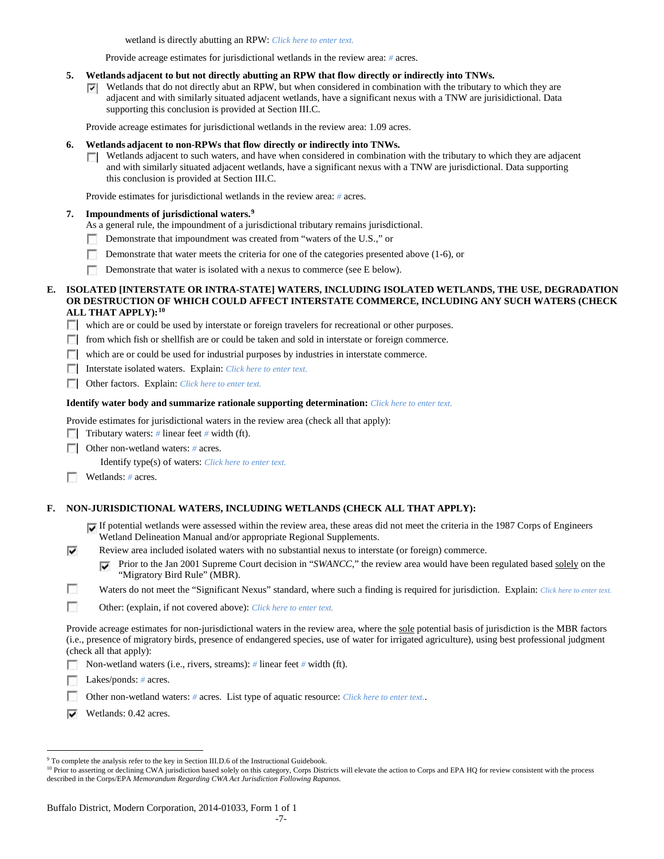wetland is directly abutting an RPW: *Click here to enter text.*

Provide acreage estimates for jurisdictional wetlands in the review area: *#* acres.

- **5. Wetlands adjacent to but not directly abutting an RPW that flow directly or indirectly into TNWs.**
	- $\nabla$  Wetlands that do not directly abut an RPW, but when considered in combination with the tributary to which they are adjacent and with similarly situated adjacent wetlands, have a significant nexus with a TNW are jurisidictional. Data supporting this conclusion is provided at Section III.C.

Provide acreage estimates for jurisdictional wetlands in the review area: 1.09 acres.

- **6. Wetlands adjacent to non-RPWs that flow directly or indirectly into TNWs.** 
	- $\Box$  Wetlands adjacent to such waters, and have when considered in combination with the tributary to which they are adjacent and with similarly situated adjacent wetlands, have a significant nexus with a TNW are jurisdictional. Data supporting this conclusion is provided at Section III.C.

Provide estimates for jurisdictional wetlands in the review area: *#* acres.

### **7. Impoundments of jurisdictional waters. [9](#page-6-0)**

- As a general rule, the impoundment of a jurisdictional tributary remains jurisdictional.
- Demonstrate that impoundment was created from "waters of the U.S.," or
- $\sim$ Demonstrate that water meets the criteria for one of the categories presented above (1-6), or
- Demonstrate that water is isolated with a nexus to commerce (see E below).

### **E. ISOLATED [INTERSTATE OR INTRA-STATE] WATERS, INCLUDING ISOLATED WETLANDS, THE USE, DEGRADATION OR DESTRUCTION OF WHICH COULD AFFECT INTERSTATE COMMERCE, INCLUDING ANY SUCH WATERS (CHECK ALL THAT APPLY):[10](#page-6-1)**

which are or could be used by interstate or foreign travelers for recreational or other purposes.

- **From which fish or shellfish are or could be taken and sold in interstate or foreign commerce.**
- which are or could be used for industrial purposes by industries in interstate commerce.

Interstate isolated waters.Explain: *Click here to enter text.*

Other factors.Explain: *Click here to enter text.*

#### **Identify water body and summarize rationale supporting determination:** *Click here to enter text.*

Provide estimates for jurisdictional waters in the review area (check all that apply):

- Tributary waters: # linear feet # width (ft).
- **Other non-wetland waters: # acres.**

Identify type(s) of waters: *Click here to enter text.*

Wetlands: # acres.

⊽

#### **F. NON-JURISDICTIONAL WATERS, INCLUDING WETLANDS (CHECK ALL THAT APPLY):**

- If potential wetlands were assessed within the review area, these areas did not meet the criteria in the 1987 Corps of Engineers Wetland Delineation Manual and/or appropriate Regional Supplements.
- Review area included isolated waters with no substantial nexus to interstate (or foreign) commerce.
	- Prior to the Jan 2001 Supreme Court decision in "*SWANCC*," the review area would have been regulated based solely on the "Migratory Bird Rule" (MBR).
- Ð Waters do not meet the "Significant Nexus" standard, where such a finding is required for jurisdiction. Explain: Click here to enter text.
- $\overline{\phantom{a}}$ Other: (explain, if not covered above): *Click here to enter text.*

Provide acreage estimates for non-jurisdictional waters in the review area, where the sole potential basis of jurisdiction is the MBR factors (i.e., presence of migratory birds, presence of endangered species, use of water for irrigated agriculture), using best professional judgment (check all that apply):

Non-wetland waters (i.e., rivers, streams): *#* linear feet *#* width (ft).

Lakes/ponds: # acres.

Other non-wetland waters: *#* acres. List type of aquatic resource: *Click here to enter text.*.

 $\triangleright$  Wetlands: 0.42 acres.

<span id="page-6-0"></span><sup>&</sup>lt;sup>9</sup> To complete the analysis refer to the key in Section III.D.6 of the Instructional Guidebook.

<span id="page-6-1"></span><sup>&</sup>lt;sup>10</sup> Prior to asserting or declining CWA jurisdiction based solely on this category, Corps Districts will elevate the action to Corps and EPA HQ for review consistent with the process described in the Corps/EPA *Memorandum Regarding CWA Act Jurisdiction Following Rapanos.*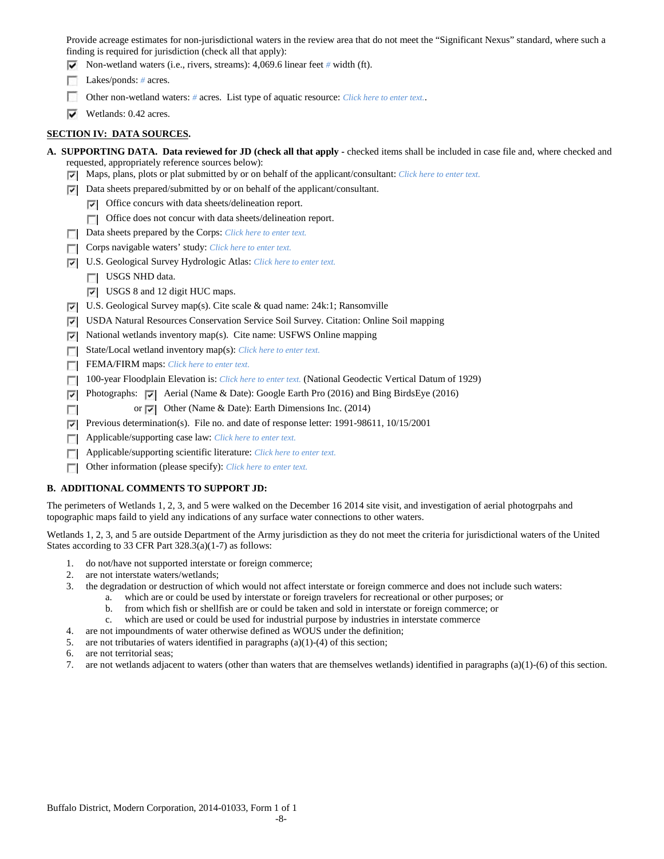Provide acreage estimates for non-jurisdictional waters in the review area that do not meet the "Significant Nexus" standard, where such a finding is required for jurisdiction (check all that apply):

- Non-wetland waters (i.e., rivers, streams): 4,069.6 linear feet *#* width (ft).
- Lakes/ponds: # acres.
- Other non-wetland waters: # acres. List type of aquatic resource: *Click here to enter text.*.
- $\triangleright$  Wetlands: 0.42 acres.

## **SECTION IV: DATA SOURCES.**

- **A. SUPPORTING DATA. Data reviewed for JD (check all that apply -** checked items shall be included in case file and, where checked and requested, appropriately reference sources below):
	- Maps, plans, plots or plat submitted by or on behalf of the applicant/consultant: *Click here to enter text.*
	- $\nabla$  Data sheets prepared/submitted by or on behalf of the applicant/consultant.
		- Office concurs with data sheets/delineation report.
		- Office does not concur with data sheets/delineation report.
	- Data sheets prepared by the Corps: *Click here to enter text.*
	- **Corps navigable waters' study:** *Click here to enter text.*
	- U.S. Geological Survey Hydrologic Atlas: *Click here to enter text.*
		- USGS NHD data.

 $\overline{\phantom{a}}$ 

- USGS 8 and 12 digit HUC maps.
- U.S. Geological Survey map(s). Cite scale & quad name: 24k:1; Ransomville
- USDA Natural Resources Conservation Service Soil Survey. Citation: Online Soil mapping
- $\triangleright$  National wetlands inventory map(s). Cite name: USFWS Online mapping
- State/Local wetland inventory map(s): *Click here to enter text.*
- FEMA/FIRM maps: *Click here to enter text*.
- 100-year Floodplain Elevation is: *Click here to enter text.* (National Geodectic Vertical Datum of 1929)
- **Photographs:**  $\vec{v}$  Aerial (Name & Date): Google Earth Pro (2016) and Bing BirdsEye (2016)
	- or  $\overline{\triangledown}$  Other (Name & Date): Earth Dimensions Inc. (2014)
- Previous determination(s). File no. and date of response letter: 1991-98611, 10/15/2001 ⊽
- Applicable/supporting case law: *Click here to enter text.*
- Applicable/supporting scientific literature: *Click here to enter text.*  $\overline{a}$
- $\sim$ Other information (please specify): *Click here to enter text.*

## **B. ADDITIONAL COMMENTS TO SUPPORT JD:**

The perimeters of Wetlands 1, 2, 3, and 5 were walked on the December 16 2014 site visit, and investigation of aerial photogrpahs and topographic maps faild to yield any indications of any surface water connections to other waters.

Wetlands 1, 2, 3, and 5 are outside Department of the Army jurisdiction as they do not meet the criteria for jurisdictional waters of the United States according to 33 CFR Part 328.3(a)(1-7) as follows:

- 1. do not/have not supported interstate or foreign commerce;
- 2. are not interstate waters/wetlands;
- 3. the degradation or destruction of which would not affect interstate or foreign commerce and does not include such waters:
	- a. which are or could be used by interstate or foreign travelers for recreational or other purposes; or
	- b. from which fish or shellfish are or could be taken and sold in interstate or foreign commerce; or
	- c. which are used or could be used for industrial purpose by industries in interstate commerce
- 4. are not impoundments of water otherwise defined as WOUS under the definition;
- 5. are not tributaries of waters identified in paragraphs (a)(1)-(4) of this section;
- 6. are not territorial seas;
- 7. are not wetlands adjacent to waters (other than waters that are themselves wetlands) identified in paragraphs (a)(1)-(6) of this section.